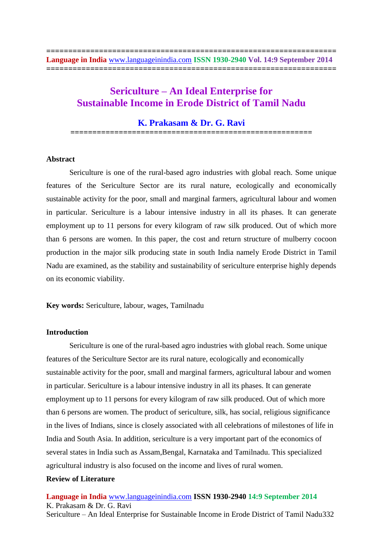# **Sericulture – An Ideal Enterprise for Sustainable Income in Erode District of Tamil Nadu**

# **K. Prakasam & Dr. G. Ravi**

**=======================================================**

## **Abstract**

Sericulture is one of the rural-based agro industries with global reach. Some unique features of the Sericulture Sector are its rural nature, ecologically and economically sustainable activity for the poor, small and marginal farmers, agricultural labour and women in particular. Sericulture is a labour intensive industry in all its phases. It can generate employment up to 11 persons for every kilogram of raw silk produced. Out of which more than 6 persons are women. In this paper, the cost and return structure of mulberry cocoon production in the major silk producing state in south India namely Erode District in Tamil Nadu are examined, as the stability and sustainability of sericulture enterprise highly depends on its economic viability.

**Key words:** Sericulture, labour, wages, Tamilnadu

## **Introduction**

Sericulture is one of the rural-based agro industries with global reach. Some unique features of the Sericulture Sector are its rural nature, ecologically and economically sustainable activity for the poor, small and marginal farmers, agricultural labour and women in particular. Sericulture is a labour intensive industry in all its phases. It can generate employment up to 11 persons for every kilogram of raw silk produced. Out of which more than 6 persons are women. The product of sericulture, silk, has social, religious significance in the lives of Indians, since is closely associated with all celebrations of milestones of life in India and South Asia. In addition, sericulture is a very important part of the economics of several states in India such as Assam,Bengal, Karnataka and Tamilnadu. This specialized agricultural industry is also focused on the income and lives of rural women.

## **Review of Literature**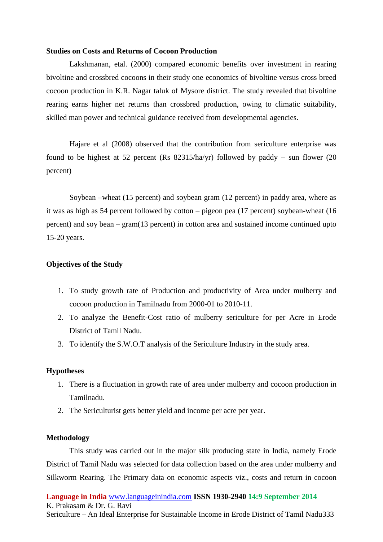## **Studies on Costs and Returns of Cocoon Production**

Lakshmanan, etal. (2000) compared economic benefits over investment in rearing bivoltine and crossbred cocoons in their study one economics of bivoltine versus cross breed cocoon production in K.R. Nagar taluk of Mysore district. The study revealed that bivoltine rearing earns higher net returns than crossbred production, owing to climatic suitability, skilled man power and technical guidance received from developmental agencies.

Hajare et al (2008) observed that the contribution from sericulture enterprise was found to be highest at 52 percent (Rs 82315/ha/yr) followed by paddy – sun flower (20 percent)

Soybean –wheat (15 percent) and soybean gram (12 percent) in paddy area, where as it was as high as 54 percent followed by cotton – pigeon pea (17 percent) soybean-wheat (16 percent) and soy bean – gram(13 percent) in cotton area and sustained income continued upto 15-20 years.

# **Objectives of the Study**

- 1. To study growth rate of Production and productivity of Area under mulberry and cocoon production in Tamilnadu from 2000-01 to 2010-11.
- 2. To analyze the Benefit-Cost ratio of mulberry sericulture for per Acre in Erode District of Tamil Nadu.
- 3. To identify the S.W.O.T analysis of the Sericulture Industry in the study area.

## **Hypotheses**

- 1. There is a fluctuation in growth rate of area under mulberry and cocoon production in Tamilnadu.
- 2. The Sericulturist gets better yield and income per acre per year.

## **Methodology**

This study was carried out in the major silk producing state in India, namely Erode District of Tamil Nadu was selected for data collection based on the area under mulberry and Silkworm Rearing. The Primary data on economic aspects viz., costs and return in cocoon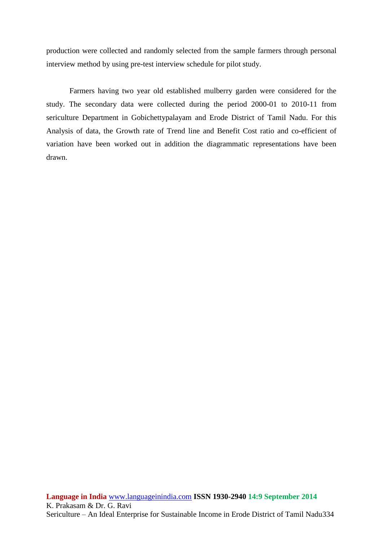production were collected and randomly selected from the sample farmers through personal interview method by using pre-test interview schedule for pilot study.

Farmers having two year old established mulberry garden were considered for the study. The secondary data were collected during the period 2000-01 to 2010-11 from sericulture Department in Gobichettypalayam and Erode District of Tamil Nadu. For this Analysis of data, the Growth rate of Trend line and Benefit Cost ratio and co-efficient of variation have been worked out in addition the diagrammatic representations have been drawn.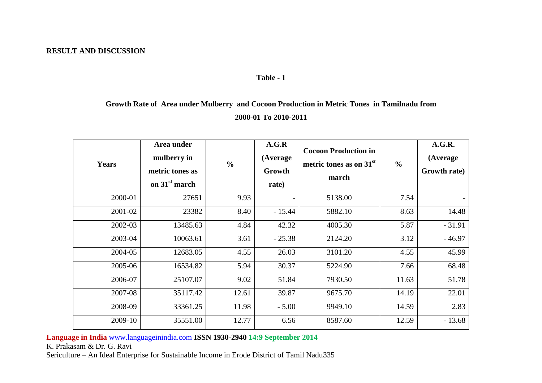# **RESULT AND DISCUSSION**

# **Table - 1**

# **Growth Rate of Area under Mulberry and Cocoon Production in Metric Tones in Tamilnadu from 2000-01 To 2010-2011**

| <b>Years</b> | Area under<br>mulberry in<br>metric tones as<br>on 31 <sup>st</sup> march | $\frac{0}{0}$ | A.G.R<br>(Average<br>Growth<br>rate) | <b>Cocoon Production in</b><br>metric tones as on $31st$<br>march | $\frac{0}{0}$ | A.G.R.<br>(Average<br>Growth rate) |
|--------------|---------------------------------------------------------------------------|---------------|--------------------------------------|-------------------------------------------------------------------|---------------|------------------------------------|
| 2000-01      | 27651                                                                     | 9.93          |                                      | 5138.00                                                           | 7.54          |                                    |
| 2001-02      | 23382                                                                     | 8.40          | $-15.44$                             | 5882.10                                                           | 8.63          | 14.48                              |
| 2002-03      | 13485.63                                                                  | 4.84          | 42.32                                | 4005.30                                                           | 5.87          | $-31.91$                           |
| 2003-04      | 10063.61                                                                  | 3.61          | $-25.38$                             | 2124.20                                                           | 3.12          | $-46.97$                           |
| 2004-05      | 12683.05                                                                  | 4.55          | 26.03                                | 3101.20                                                           | 4.55          | 45.99                              |
| 2005-06      | 16534.82                                                                  | 5.94          | 30.37                                | 5224.90                                                           | 7.66          | 68.48                              |
| 2006-07      | 25107.07                                                                  | 9.02          | 51.84                                | 7930.50                                                           | 11.63         | 51.78                              |
| 2007-08      | 35117.42                                                                  | 12.61         | 39.87                                | 9675.70                                                           | 14.19         | 22.01                              |
| 2008-09      | 33361.25                                                                  | 11.98         | $-5.00$                              | 9949.10                                                           | 14.59         | 2.83                               |
| 2009-10      | 35551.00                                                                  | 12.77         | 6.56                                 | 8587.60                                                           | 12.59         | $-13.68$                           |

**Language in India** [www.languageinindia.com](http://www.languageinindia.com/) **ISSN 1930-2940 14:9 September 2014**

K. Prakasam & Dr. G. Ravi

Sericulture – An Ideal Enterprise for Sustainable Income in Erode District of Tamil Nadu335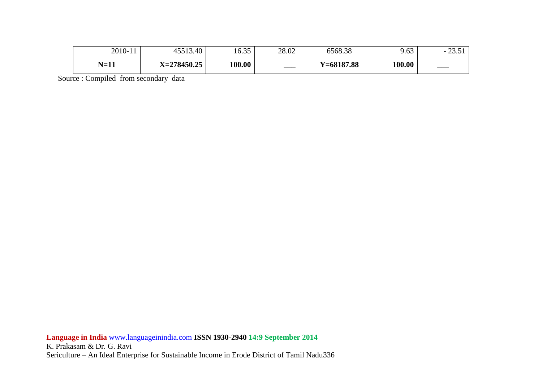| $N=11$  | $X = 278450.25$ | 00.001                                  | $- -$ | $Y=68187.88$ | 100.00 | ____                                       |
|---------|-----------------|-----------------------------------------|-------|--------------|--------|--------------------------------------------|
| 2010-11 | 45513.40        | $\epsilon$ $\Omega$ $\epsilon$<br>10.3J | 28.02 | 6568.38      | 9.63   | $\cap$ $\cap$ $\cap$ 1<br>$\sim$<br>⊥ ل.ل⊿ |

Source : Compiled from secondary data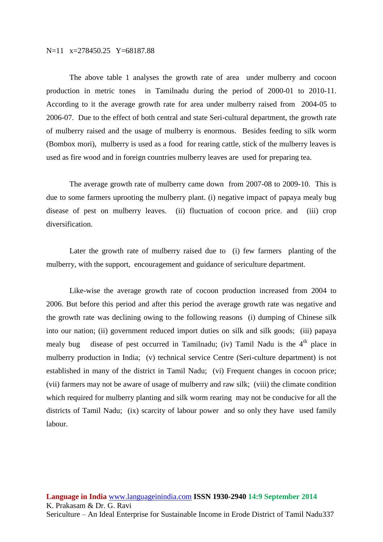## N=11 x=278450.25 Y=68187.88

The above table 1 analyses the growth rate of area under mulberry and cocoon production in metric tones in Tamilnadu during the period of 2000-01 to 2010-11. According to it the average growth rate for area under mulberry raised from 2004-05 to 2006-07. Due to the effect of both central and state Seri-cultural department, the growth rate of mulberry raised and the usage of mulberry is enormous. Besides feeding to silk worm (Bombox mori), mulberry is used as a food for rearing cattle, stick of the mulberry leaves is used as fire wood and in foreign countries mulberry leaves are used for preparing tea.

The average growth rate of mulberry came down from 2007-08 to 2009-10. This is due to some farmers uprooting the mulberry plant. (i) negative impact of papaya mealy bug disease of pest on mulberry leaves. (ii) fluctuation of cocoon price. and (iii) crop diversification.

Later the growth rate of mulberry raised due to (i) few farmers planting of the mulberry, with the support, encouragement and guidance of sericulture department.

Like-wise the average growth rate of cocoon production increased from 2004 to 2006. But before this period and after this period the average growth rate was negative and the growth rate was declining owing to the following reasons (i) dumping of Chinese silk into our nation; (ii) government reduced import duties on silk and silk goods; (iii) papaya mealy bug disease of pest occurred in Tamilnadu; (iv) Tamil Nadu is the  $4<sup>th</sup>$  place in mulberry production in India; (v) technical service Centre (Seri-culture department) is not established in many of the district in Tamil Nadu; (vi) Frequent changes in cocoon price; (vii) farmers may not be aware of usage of mulberry and raw silk; (viii) the climate condition which required for mulberry planting and silk worm rearing may not be conducive for all the districts of Tamil Nadu; (ix) scarcity of labour power and so only they have used family labour.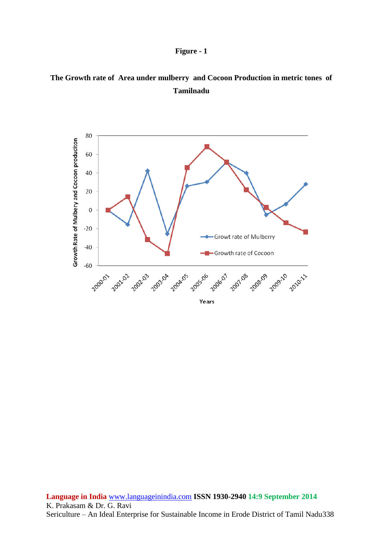



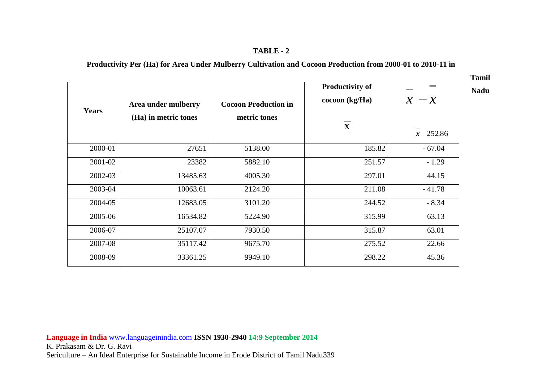# **TABLE - 2**

# **Productivity Per (Ha) for Area Under Mulberry Cultivation and Cocoon Production from 2000-01 to 2010-11 in**

**Tamil Nadu**

| <b>Years</b> | Area under mulberry<br>(Ha) in metric tones | <b>Cocoon Production in</b><br>metric tones | <b>Productivity of</b><br>$\operatorname{cocon}(\text{kg}/\text{Ha})$<br>$\overline{\mathbf{X}}$ | $\qquad \qquad =$<br>$x - x$<br>$x - 252.86$ |
|--------------|---------------------------------------------|---------------------------------------------|--------------------------------------------------------------------------------------------------|----------------------------------------------|
| 2000-01      | 27651                                       | 5138.00                                     | 185.82                                                                                           | $-67.04$                                     |
| 2001-02      | 23382                                       | 5882.10                                     | 251.57                                                                                           | $-1.29$                                      |
| 2002-03      | 13485.63                                    | 4005.30                                     | 297.01                                                                                           | 44.15                                        |
| 2003-04      | 10063.61                                    | 2124.20                                     | 211.08                                                                                           | $-41.78$                                     |
| 2004-05      | 12683.05                                    | 3101.20                                     | 244.52                                                                                           | $-8.34$                                      |
| 2005-06      | 16534.82                                    | 5224.90                                     | 315.99                                                                                           | 63.13                                        |
| 2006-07      | 25107.07                                    | 7930.50                                     | 315.87                                                                                           | 63.01                                        |
| 2007-08      | 35117.42                                    | 9675.70                                     | 275.52                                                                                           | 22.66                                        |
| 2008-09      | 33361.25                                    | 9949.10                                     | 298.22                                                                                           | 45.36                                        |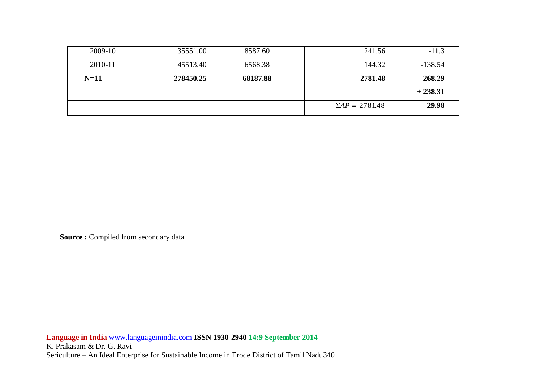| $2009-10$ | 35551.00  | 8587.60  | 241.56              | $-11.3$   |
|-----------|-----------|----------|---------------------|-----------|
| 2010-11   | 45513.40  | 6568.38  | 144.32              | $-138.54$ |
| $N=11$    | 278450.25 | 68187.88 | 2781.48             | $-268.29$ |
|           |           |          |                     | $+238.31$ |
|           |           |          | $\sum AP = 2781.48$ | 29.98     |

**Source : Compiled from secondary data**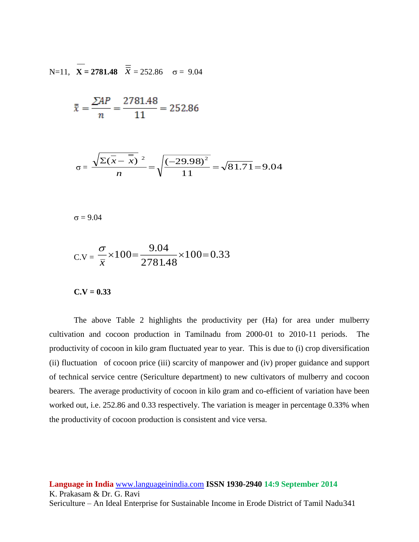N=11, 
$$
\overline{X}
$$
 = 2781.48  $\overline{\overline{X}}$  = 252.86  $\sigma$  = 9.04

$$
\bar{x} = \frac{\sum AP}{n} = \frac{2781.48}{11} = 252.86
$$

$$
\sigma = \frac{\sqrt{\sum (x - \overline{x})^2}}{n} = \sqrt{\frac{(-29.98)^2}{11}} = \sqrt{81.71} = 9.04
$$

 $\sigma = 9.04$ 

$$
C.V = \frac{\sigma}{\overline{x}} \times 100 = \frac{9.04}{2781.48} \times 100 = 0.33
$$

 $C.V = 0.33$ 

The above Table 2 highlights the productivity per (Ha) for area under mulberry cultivation and cocoon production in Tamilnadu from 2000-01 to 2010-11 periods. The productivity of cocoon in kilo gram fluctuated year to year. This is due to (i) crop diversification (ii) fluctuation of cocoon price (iii) scarcity of manpower and (iv) proper guidance and support of technical service centre (Sericulture department) to new cultivators of mulberry and cocoon bearers. The average productivity of cocoon in kilo gram and co-efficient of variation have been worked out, i.e. 252.86 and 0.33 respectively. The variation is meager in percentage 0.33% when the productivity of cocoon production is consistent and vice versa.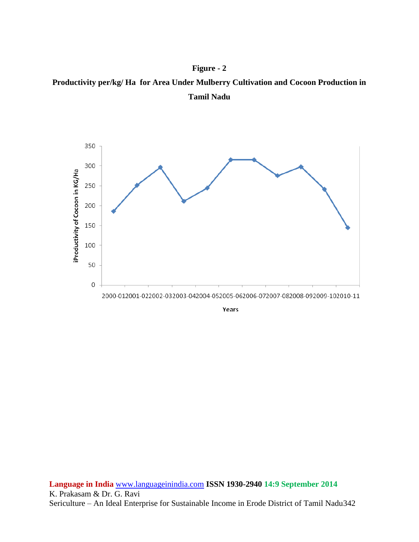



**Language in India** [www.languageinindia.com](http://www.languageinindia.com/) **ISSN 1930-2940 14:9 September 2014** K. Prakasam & Dr. G. Ravi Sericulture – An Ideal Enterprise for Sustainable Income in Erode District of Tamil Nadu342

# **Figure - 2**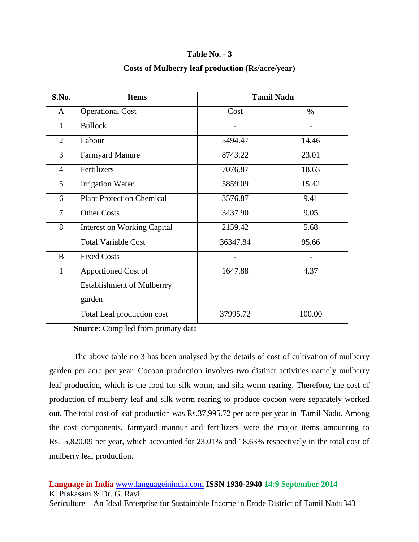## **Table No. - 3**

# **Costs of Mulberry leaf production (Rs/acre/year)**

| S.No.          | <b>Items</b>                       | <b>Tamil Nadu</b> |               |
|----------------|------------------------------------|-------------------|---------------|
| A              | <b>Operational Cost</b>            | Cost              | $\frac{6}{9}$ |
| 1              | <b>Bullock</b>                     |                   |               |
| $\overline{2}$ | Labour                             | 5494.47           | 14.46         |
| 3              | <b>Farmyard Manure</b>             | 8743.22           | 23.01         |
| $\overline{4}$ | Fertilizers                        | 7076.87           | 18.63         |
| $\mathfrak{S}$ | <b>Irrigation Water</b>            | 5859.09           | 15.42         |
| 6              | <b>Plant Protection Chemical</b>   | 3576.87           | 9.41          |
| $\overline{7}$ | <b>Other Costs</b>                 | 3437.90           | 9.05          |
| 8              | <b>Interest on Working Capital</b> | 2159.42           | 5.68          |
|                | <b>Total Variable Cost</b>         | 36347.84          | 95.66         |
| B              | <b>Fixed Costs</b>                 |                   |               |
| $\mathbf{1}$   | Apportioned Cost of                | 1647.88           | 4.37          |
|                | <b>Establishment of Mulberrry</b>  |                   |               |
|                | garden                             |                   |               |
|                | Total Leaf production cost         | 37995.72          | 100.00        |

**Source:** Compiled from primary data

The above table no 3 has been analysed by the details of cost of cultivation of mulberry garden per acre per year. Cocoon production involves two distinct activities namely mulberry leaf production, which is the food for silk worm, and silk worm rearing. Therefore, the cost of production of mulberry leaf and silk worm rearing to produce cocoon were separately worked out. The total cost of leaf production was Rs.37,995.72 per acre per year in Tamil Nadu. Among the cost components, farmyard mannur and fertilizers were the major items amounting to Rs.15,820.09 per year, which accounted for 23.01% and 18.63% respectively in the total cost of mulberry leaf production.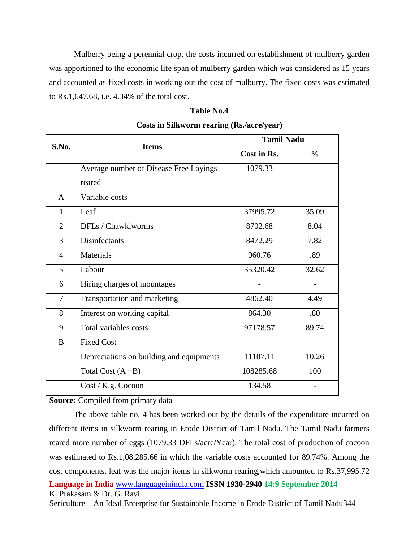Mulberry being a perennial crop, the costs incurred on establishment of mulberry garden was apportioned to the economic life span of mulberry garden which was considered as 15 years and accounted as fixed costs in working out the cost of mulburry. The fixed costs was estimated to Rs.1,647.68, i.e. 4.34% of the total cost.

#### **Table No.4**

| S.No.          | <b>Items</b>                             | <b>Tamil Nadu</b> |               |  |
|----------------|------------------------------------------|-------------------|---------------|--|
|                |                                          | Cost in Rs.       | $\frac{0}{0}$ |  |
|                | Average number of Disease Free Layings   | 1079.33           |               |  |
|                | reared                                   |                   |               |  |
| A              | Variable costs                           |                   |               |  |
| $\mathbf{1}$   | Leaf                                     | 37995.72          | 35.09         |  |
| $\overline{2}$ | DFLs / Chawkiworms                       | 8702.68           | 8.04          |  |
| 3              | Disinfectants                            | 8472.29           | 7.82          |  |
| $\overline{4}$ | Materials                                | 960.76            | .89           |  |
| 5              | Labour                                   | 35320.42          | 32.62         |  |
| 6              | Hiring charges of mountages              |                   |               |  |
| $\overline{7}$ | Transportation and marketing             | 4862.40           | 4.49          |  |
| 8              | Interest on working capital              | 864.30            | .80           |  |
| 9              | Total variables costs                    | 97178.57          | 89.74         |  |
| B              | <b>Fixed Cost</b>                        |                   |               |  |
|                | Depreciations on building and equipments | 11107.11          | 10.26         |  |
|                | Total Cost (A+B)                         | 108285.68         | 100           |  |
|                | Cost / K.g. Cocoon                       | 134.58            |               |  |

## **Costs in Silkworm rearing (Rs./acre/year)**

**Source:** Compiled from primary data

**Language in India** [www.languageinindia.com](http://www.languageinindia.com/) **ISSN 1930-2940 14:9 September 2014** The above table no. 4 has been worked out by the details of the expenditure incurred on different items in silkworm rearing in Erode District of Tamil Nadu. The Tamil Nadu farmers reared more number of eggs (1079.33 DFLs/acre/Year). The total cost of production of cocoon was estimated to Rs.1,08,285.66 in which the variable costs accounted for 89.74%. Among the cost components, leaf was the major items in silkworm rearing,which amounted to Rs.37,995.72

K. Prakasam & Dr. G. Ravi

Sericulture – An Ideal Enterprise for Sustainable Income in Erode District of Tamil Nadu344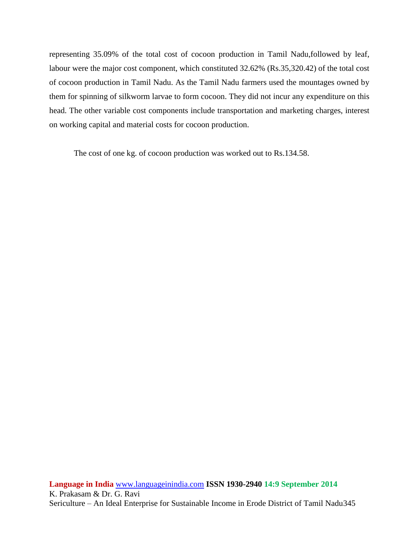representing 35.09% of the total cost of cocoon production in Tamil Nadu,followed by leaf, labour were the major cost component, which constituted 32.62% (Rs.35,320.42) of the total cost of cocoon production in Tamil Nadu. As the Tamil Nadu farmers used the mountages owned by them for spinning of silkworm larvae to form cocoon. They did not incur any expenditure on this head. The other variable cost components include transportation and marketing charges, interest on working capital and material costs for cocoon production.

The cost of one kg. of cocoon production was worked out to Rs.134.58.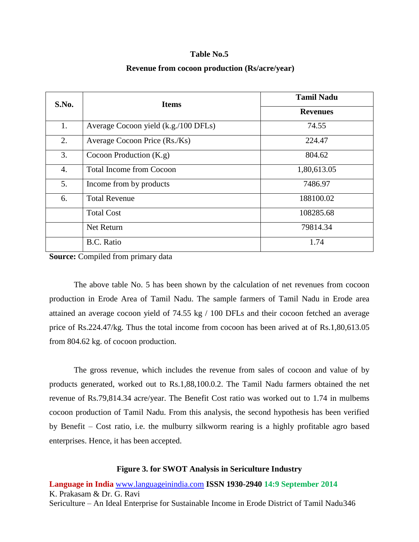#### **Table No.5**

#### **Revenue from cocoon production (Rs/acre/year)**

| S.No. | <b>Items</b>                         | <b>Tamil Nadu</b> |  |
|-------|--------------------------------------|-------------------|--|
|       |                                      | <b>Revenues</b>   |  |
| 1.    | Average Cocoon yield (k.g./100 DFLs) | 74.55             |  |
| 2.    | Average Cocoon Price (Rs./Ks)        | 224.47            |  |
| 3.    | Cocoon Production $(K, g)$           | 804.62            |  |
| 4.    | <b>Total Income from Cocoon</b>      | 1,80,613.05       |  |
| 5.    | Income from by products              | 7486.97           |  |
| 6.    | <b>Total Revenue</b>                 | 188100.02         |  |
|       | <b>Total Cost</b>                    | 108285.68         |  |
|       | Net Return                           | 79814.34          |  |
|       | <b>B.C.</b> Ratio                    | 1.74              |  |

**Source:** Compiled from primary data

The above table No. 5 has been shown by the calculation of net revenues from cocoon production in Erode Area of Tamil Nadu. The sample farmers of Tamil Nadu in Erode area attained an average cocoon yield of 74.55 kg / 100 DFLs and their cocoon fetched an average price of Rs.224.47/kg. Thus the total income from cocoon has been arived at of Rs.1,80,613.05 from 804.62 kg. of cocoon production.

The gross revenue, which includes the revenue from sales of cocoon and value of by products generated, worked out to Rs.1,88,100.0.2. The Tamil Nadu farmers obtained the net revenue of Rs.79,814.34 acre/year. The Benefit Cost ratio was worked out to 1.74 in mulbems cocoon production of Tamil Nadu. From this analysis, the second hypothesis has been verified by Benefit – Cost ratio, i.e. the mulburry silkworm rearing is a highly profitable agro based enterprises. Hence, it has been accepted.

### **Figure 3. for SWOT Analysis in Sericulture Industry**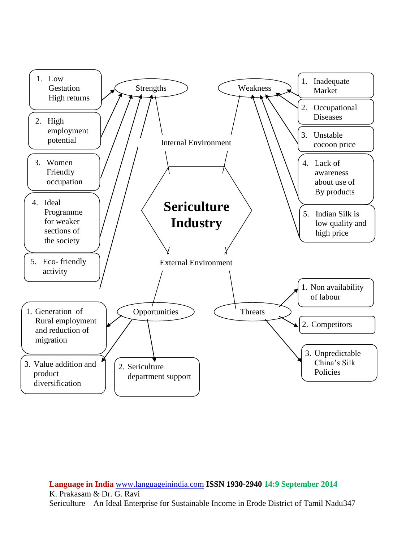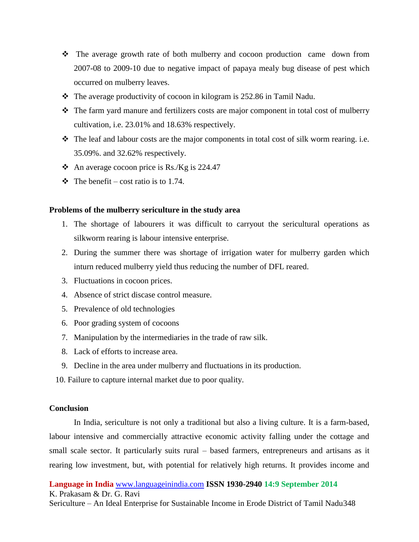- The average growth rate of both mulberry and cocoon production came down from 2007-08 to 2009-10 due to negative impact of papaya mealy bug disease of pest which occurred on mulberry leaves.
- $\cdot \cdot$  The average productivity of cocoon in kilogram is 252.86 in Tamil Nadu.
- The farm yard manure and fertilizers costs are major component in total cost of mulberry cultivation, i.e. 23.01% and 18.63% respectively.
- The leaf and labour costs are the major components in total cost of silk worm rearing. i.e. 35.09%. and 32.62% respectively.
- An average cocoon price is Rs./Kg is  $224.47$
- $\div$  The benefit cost ratio is to 1.74.

## **Problems of the mulberry sericulture in the study area**

- 1. The shortage of labourers it was difficult to carryout the sericultural operations as silkworm rearing is labour intensive enterprise.
- 2. During the summer there was shortage of irrigation water for mulberry garden which inturn reduced mulberry yield thus reducing the number of DFL reared.
- 3. Fluctuations in cocoon prices.
- 4. Absence of strict discase control measure.
- 5. Prevalence of old technologies
- 6. Poor grading system of cocoons
- 7. Manipulation by the intermediaries in the trade of raw silk.
- 8. Lack of efforts to increase area.
- 9. Decline in the area under mulberry and fluctuations in its production.

10. Failure to capture internal market due to poor quality.

# **Conclusion**

In India, sericulture is not only a traditional but also a living culture. It is a farm-based, labour intensive and commercially attractive economic activity falling under the cottage and small scale sector. It particularly suits rural – based farmers, entrepreneurs and artisans as it rearing low investment, but, with potential for relatively high returns. It provides income and

**Language in India** [www.languageinindia.com](http://www.languageinindia.com/) **ISSN 1930-2940 14:9 September 2014** K. Prakasam & Dr. G. Ravi

Sericulture – An Ideal Enterprise for Sustainable Income in Erode District of Tamil Nadu348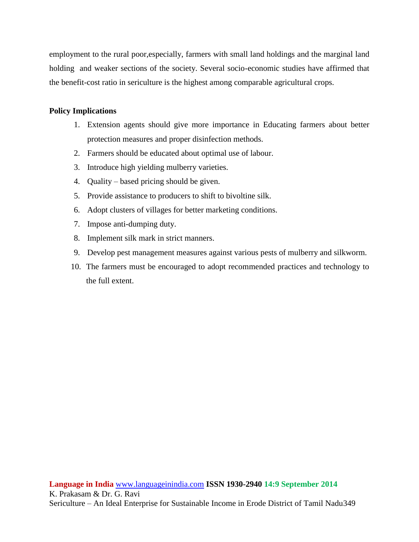employment to the rural poor,especially, farmers with small land holdings and the marginal land holding and weaker sections of the society. Several socio-economic studies have affirmed that the benefit-cost ratio in sericulture is the highest among comparable agricultural crops.

# **Policy Implications**

- 1. Extension agents should give more importance in Educating farmers about better protection measures and proper disinfection methods.
- 2. Farmers should be educated about optimal use of labour.
- 3. Introduce high yielding mulberry varieties.
- 4. Quality based pricing should be given.
- 5. Provide assistance to producers to shift to bivoltine silk.
- 6. Adopt clusters of villages for better marketing conditions.
- 7. Impose anti-dumping duty.
- 8. Implement silk mark in strict manners.
- 9. Develop pest management measures against various pests of mulberry and silkworm.
- 10. The farmers must be encouraged to adopt recommended practices and technology to the full extent.